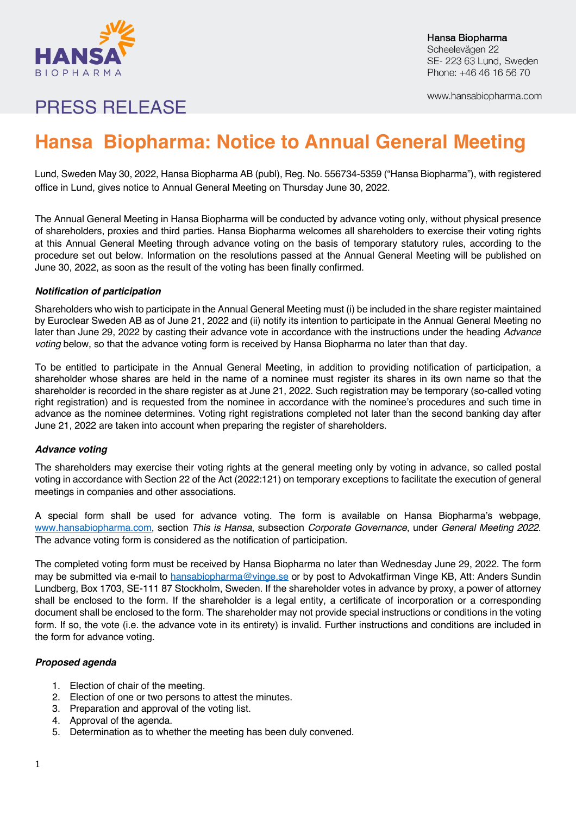

Hansa Biopharma Scheelevägen 22 SE-223 63 Lund, Sweden Phone: +46 46 16 56 70

www.hansabiopharma.com

## PRESS RELEASE

# **Hansa Biopharma: Notice to Annual General Meeting**

Lund, Sweden May 30, 2022, Hansa Biopharma AB (publ), Reg. No. 556734-5359 ("Hansa Biopharma"), with registered office in Lund, gives notice to Annual General Meeting on Thursday June 30, 2022.

The Annual General Meeting in Hansa Biopharma will be conducted by advance voting only, without physical presence of shareholders, proxies and third parties. Hansa Biopharma welcomes all shareholders to exercise their voting rights at this Annual General Meeting through advance voting on the basis of temporary statutory rules, according to the procedure set out below. Information on the resolutions passed at the Annual General Meeting will be published on June 30, 2022, as soon as the result of the voting has been finally confirmed.

## *Notification of participation*

Shareholders who wish to participate in the Annual General Meeting must (i) be included in the share register maintained by Euroclear Sweden AB as of June 21, 2022 and (ii) notify its intention to participate in the Annual General Meeting no later than June 29, 2022 by casting their advance vote in accordance with the instructions under the heading *Advance voting* below, so that the advance voting form is received by Hansa Biopharma no later than that day.

To be entitled to participate in the Annual General Meeting, in addition to providing notification of participation, a shareholder whose shares are held in the name of a nominee must register its shares in its own name so that the shareholder is recorded in the share register as at June 21, 2022. Such registration may be temporary (so-called voting right registration) and is requested from the nominee in accordance with the nominee's procedures and such time in advance as the nominee determines. Voting right registrations completed not later than the second banking day after June 21, 2022 are taken into account when preparing the register of shareholders.

## *Advance voting*

The shareholders may exercise their voting rights at the general meeting only by voting in advance, so called postal voting in accordance with Section 22 of the Act (2022:121) on temporary exceptions to facilitate the execution of general meetings in companies and other associations.

A special form shall be used for advance voting. The form is available on Hansa Biopharma's webpage, www.hansabiopharma.com, section *This is Hansa*, subsection *Corporate Governance*, under *General Meeting 2022*. The advance voting form is considered as the notification of participation.

The completed voting form must be received by Hansa Biopharma no later than Wednesday June 29, 2022. The form may be submitted via e-mail to hansabiopharma@vinge.se or by post to Advokatfirman Vinge KB, Att: Anders Sundin Lundberg, Box 1703, SE-111 87 Stockholm, Sweden. If the shareholder votes in advance by proxy, a power of attorney shall be enclosed to the form. If the shareholder is a legal entity, a certificate of incorporation or a corresponding document shall be enclosed to the form. The shareholder may not provide special instructions or conditions in the voting form. If so, the vote (i.e. the advance vote in its entirety) is invalid. Further instructions and conditions are included in the form for advance voting.

## *Proposed agenda*

- 1. Election of chair of the meeting.
- 2. Election of one or two persons to attest the minutes.
- 3. Preparation and approval of the voting list.
- 4. Approval of the agenda.
- 5. Determination as to whether the meeting has been duly convened.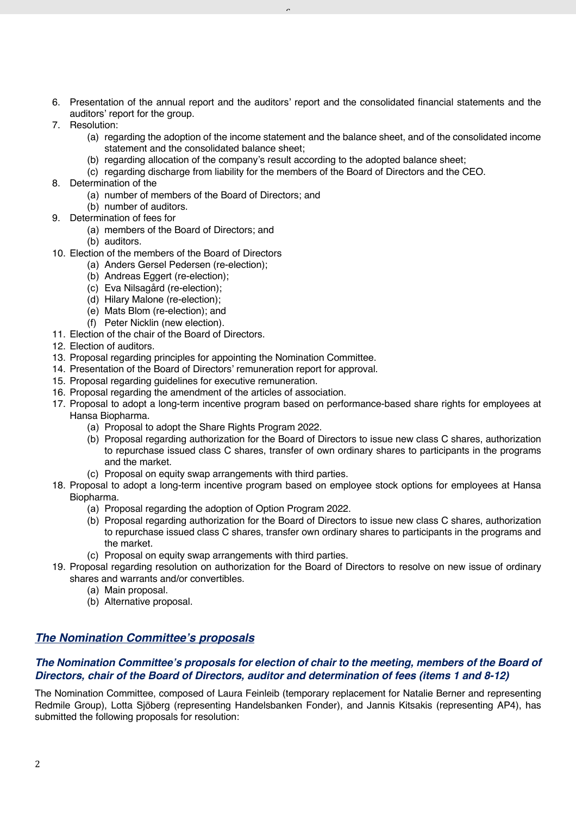6. Presentation of the annual report and the auditors' report and the consolidated financial statements and the auditors' report for the group.

 $\overline{a}$ 

- 7. Resolution:
	- (a) regarding the adoption of the income statement and the balance sheet, and of the consolidated income statement and the consolidated balance sheet;
	- (b) regarding allocation of the company's result according to the adopted balance sheet;
	- (c) regarding discharge from liability for the members of the Board of Directors and the CEO.
- 8. Determination of the
	- (a) number of members of the Board of Directors; and
	- (b) number of auditors.
- 9. Determination of fees for
	- (a) members of the Board of Directors; and
	- (b) auditors.
- 10. Election of the members of the Board of Directors
	- (a) Anders Gersel Pedersen (re-election);
	- (b) Andreas Eggert (re-election);
	- (c) Eva Nilsagård (re-election);
	- (d) Hilary Malone (re-election);
	- (e) Mats Blom (re-election); and
	- (f) Peter Nicklin (new election).
- 11. Election of the chair of the Board of Directors.
- 12. Election of auditors.
- 13. Proposal regarding principles for appointing the Nomination Committee.
- 14. Presentation of the Board of Directors' remuneration report for approval.
- 15. Proposal regarding guidelines for executive remuneration.
- 16. Proposal regarding the amendment of the articles of association.
- 17. Proposal to adopt a long-term incentive program based on performance-based share rights for employees at Hansa Biopharma.
	- (a) Proposal to adopt the Share Rights Program 2022.
	- (b) Proposal regarding authorization for the Board of Directors to issue new class C shares, authorization to repurchase issued class C shares, transfer of own ordinary shares to participants in the programs and the market.
	- (c) Proposal on equity swap arrangements with third parties.
- 18. Proposal to adopt a long-term incentive program based on employee stock options for employees at Hansa Biopharma.
	- (a) Proposal regarding the adoption of Option Program 2022.
	- (b) Proposal regarding authorization for the Board of Directors to issue new class C shares, authorization to repurchase issued class C shares, transfer own ordinary shares to participants in the programs and the market.
	- (c) Proposal on equity swap arrangements with third parties.
- 19. Proposal regarding resolution on authorization for the Board of Directors to resolve on new issue of ordinary shares and warrants and/or convertibles.
	- (a) Main proposal.
	- (b) Alternative proposal.

## *The Nomination Committee's proposals*

## *The Nomination Committee's proposals for election of chair to the meeting, members of the Board of Directors, chair of the Board of Directors, auditor and determination of fees (items 1 and 8-12)*

The Nomination Committee, composed of Laura Feinleib (temporary replacement for Natalie Berner and representing Redmile Group), Lotta Sjöberg (representing Handelsbanken Fonder), and Jannis Kitsakis (representing AP4), has submitted the following proposals for resolution: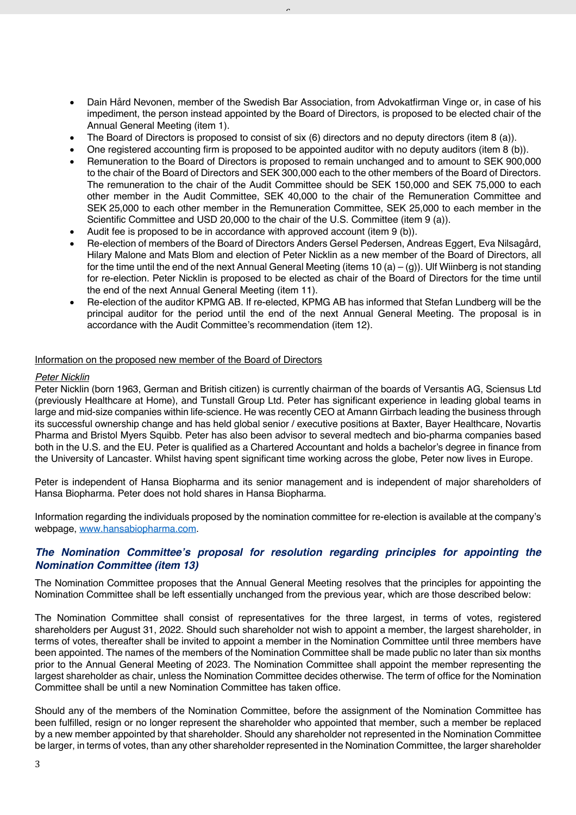- Dain Hård Nevonen, member of the Swedish Bar Association, from Advokatfirman Vinge or, in case of his impediment, the person instead appointed by the Board of Directors, is proposed to be elected chair of the Annual General Meeting (item 1).
- The Board of Directors is proposed to consist of six (6) directors and no deputy directors (item 8 (a)).

 $\overline{a}$ 

- One registered accounting firm is proposed to be appointed auditor with no deputy auditors (item 8 (b)).
- Remuneration to the Board of Directors is proposed to remain unchanged and to amount to SEK 900,000 to the chair of the Board of Directors and SEK 300,000 each to the other members of the Board of Directors. The remuneration to the chair of the Audit Committee should be SEK 150,000 and SEK 75,000 to each other member in the Audit Committee, SEK 40,000 to the chair of the Remuneration Committee and SEK 25,000 to each other member in the Remuneration Committee, SEK 25,000 to each member in the Scientific Committee and USD 20,000 to the chair of the U.S. Committee (item 9 (a)).
- Audit fee is proposed to be in accordance with approved account (item 9 (b)).
- Re-election of members of the Board of Directors Anders Gersel Pedersen, Andreas Eggert, Eva Nilsagård, Hilary Malone and Mats Blom and election of Peter Nicklin as a new member of the Board of Directors, all for the time until the end of the next Annual General Meeting (items 10 (a) – (g)). Ulf Wiinberg is not standing for re-election. Peter Nicklin is proposed to be elected as chair of the Board of Directors for the time until the end of the next Annual General Meeting (item 11).
- Re-election of the auditor KPMG AB. If re-elected, KPMG AB has informed that Stefan Lundberg will be the principal auditor for the period until the end of the next Annual General Meeting. The proposal is in accordance with the Audit Committee's recommendation (item 12).

#### Information on the proposed new member of the Board of Directors

#### *Peter Nicklin*

Peter Nicklin (born 1963, German and British citizen) is currently chairman of the boards of Versantis AG, Sciensus Ltd (previously Healthcare at Home), and Tunstall Group Ltd. Peter has significant experience in leading global teams in large and mid-size companies within life-science. He was recently CEO at Amann Girrbach leading the business through its successful ownership change and has held global senior / executive positions at Baxter, Bayer Healthcare, Novartis Pharma and Bristol Myers Squibb. Peter has also been advisor to several medtech and bio-pharma companies based both in the U.S. and the EU. Peter is qualified as a Chartered Accountant and holds a bachelor's degree in finance from the University of Lancaster. Whilst having spent significant time working across the globe, Peter now lives in Europe.

Peter is independent of Hansa Biopharma and its senior management and is independent of major shareholders of Hansa Biopharma. Peter does not hold shares in Hansa Biopharma.

Information regarding the individuals proposed by the nomination committee for re-election is available at the company's webpage, www.hansabiopharma.com.

## *The Nomination Committee's proposal for resolution regarding principles for appointing the Nomination Committee (item 13)*

The Nomination Committee proposes that the Annual General Meeting resolves that the principles for appointing the Nomination Committee shall be left essentially unchanged from the previous year, which are those described below:

The Nomination Committee shall consist of representatives for the three largest, in terms of votes, registered shareholders per August 31, 2022. Should such shareholder not wish to appoint a member, the largest shareholder, in terms of votes, thereafter shall be invited to appoint a member in the Nomination Committee until three members have been appointed. The names of the members of the Nomination Committee shall be made public no later than six months prior to the Annual General Meeting of 2023. The Nomination Committee shall appoint the member representing the largest shareholder as chair, unless the Nomination Committee decides otherwise. The term of office for the Nomination Committee shall be until a new Nomination Committee has taken office.

Should any of the members of the Nomination Committee, before the assignment of the Nomination Committee has been fulfilled, resign or no longer represent the shareholder who appointed that member, such a member be replaced by a new member appointed by that shareholder. Should any shareholder not represented in the Nomination Committee be larger, in terms of votes, than any other shareholder represented in the Nomination Committee, the larger shareholder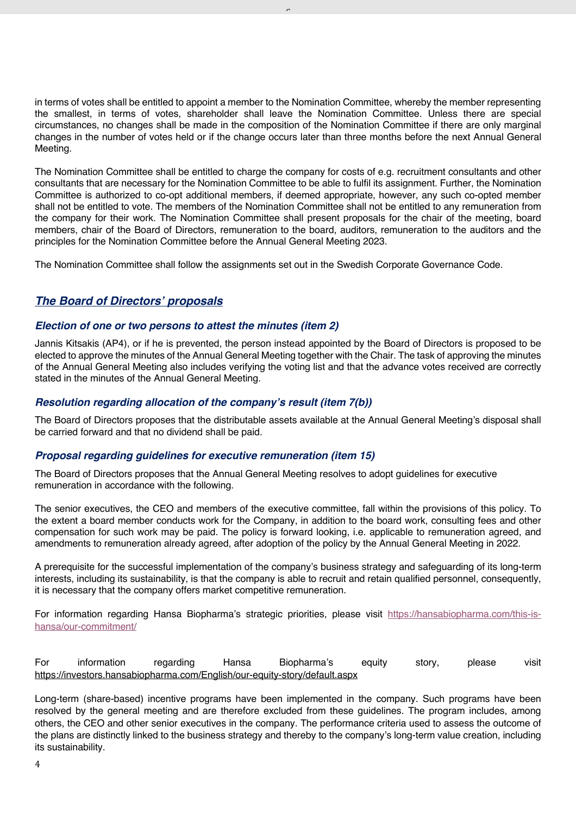in terms of votes shall be entitled to appoint a member to the Nomination Committee, whereby the member representing the smallest, in terms of votes, shareholder shall leave the Nomination Committee. Unless there are special circumstances, no changes shall be made in the composition of the Nomination Committee if there are only marginal changes in the number of votes held or if the change occurs later than three months before the next Annual General Meeting.

 $\overline{a}$ 

The Nomination Committee shall be entitled to charge the company for costs of e.g. recruitment consultants and other consultants that are necessary for the Nomination Committee to be able to fulfil its assignment. Further, the Nomination Committee is authorized to co-opt additional members, if deemed appropriate, however, any such co-opted member shall not be entitled to vote. The members of the Nomination Committee shall not be entitled to any remuneration from the company for their work. The Nomination Committee shall present proposals for the chair of the meeting, board members, chair of the Board of Directors, remuneration to the board, auditors, remuneration to the auditors and the principles for the Nomination Committee before the Annual General Meeting 2023.

The Nomination Committee shall follow the assignments set out in the Swedish Corporate Governance Code.

## *The Board of Directors' proposals*

## *Election of one or two persons to attest the minutes (item 2)*

Jannis Kitsakis (AP4), or if he is prevented, the person instead appointed by the Board of Directors is proposed to be elected to approve the minutes of the Annual General Meeting together with the Chair. The task of approving the minutes of the Annual General Meeting also includes verifying the voting list and that the advance votes received are correctly stated in the minutes of the Annual General Meeting.

## *Resolution regarding allocation of the company's result (item 7(b))*

The Board of Directors proposes that the distributable assets available at the Annual General Meeting's disposal shall be carried forward and that no dividend shall be paid.

## *Proposal regarding guidelines for executive remuneration (item 15)*

The Board of Directors proposes that the Annual General Meeting resolves to adopt guidelines for executive remuneration in accordance with the following.

The senior executives, the CEO and members of the executive committee, fall within the provisions of this policy. To the extent a board member conducts work for the Company, in addition to the board work, consulting fees and other compensation for such work may be paid. The policy is forward looking, i.e. applicable to remuneration agreed, and amendments to remuneration already agreed, after adoption of the policy by the Annual General Meeting in 2022.

A prerequisite for the successful implementation of the company's business strategy and safeguarding of its long-term interests, including its sustainability, is that the company is able to recruit and retain qualified personnel, consequently, it is necessary that the company offers market competitive remuneration.

For information regarding Hansa Biopharma's strategic priorities, please visit https://hansabiopharma.com/this-ishansa/our-commitment/

For information regarding Hansa Biopharma's equity story, please visit https://investors.hansabiopharma.com/English/our-equity-story/default.aspx

Long-term (share-based) incentive programs have been implemented in the company. Such programs have been resolved by the general meeting and are therefore excluded from these guidelines. The program includes, among others, the CEO and other senior executives in the company. The performance criteria used to assess the outcome of the plans are distinctly linked to the business strategy and thereby to the company's long-term value creation, including its sustainability.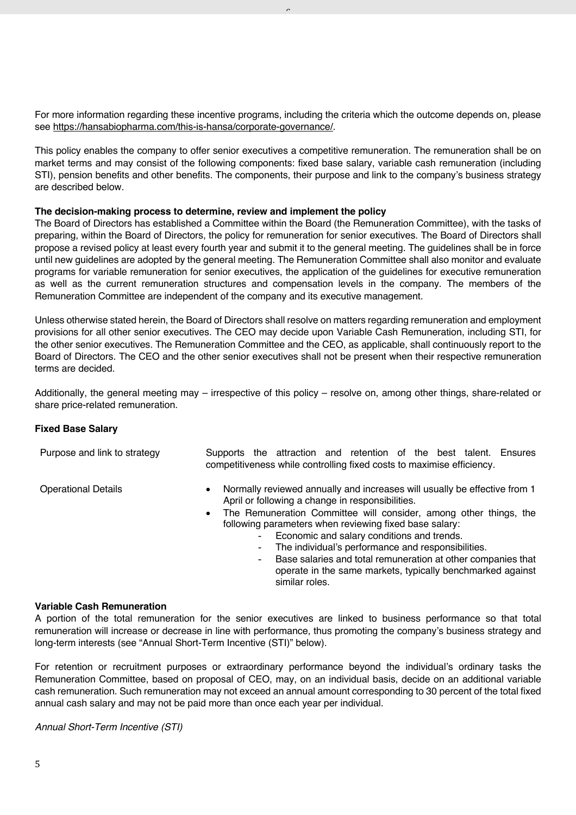For more information regarding these incentive programs, including the criteria which the outcome depends on, please see https://hansabiopharma.com/this-is-hansa/corporate-governance/.

 $\overline{a}$ 

This policy enables the company to offer senior executives a competitive remuneration. The remuneration shall be on market terms and may consist of the following components: fixed base salary, variable cash remuneration (including STI), pension benefits and other benefits. The components, their purpose and link to the company's business strategy are described below.

#### **The decision-making process to determine, review and implement the policy**

The Board of Directors has established a Committee within the Board (the Remuneration Committee), with the tasks of preparing, within the Board of Directors, the policy for remuneration for senior executives. The Board of Directors shall propose a revised policy at least every fourth year and submit it to the general meeting. The guidelines shall be in force until new guidelines are adopted by the general meeting. The Remuneration Committee shall also monitor and evaluate programs for variable remuneration for senior executives, the application of the guidelines for executive remuneration as well as the current remuneration structures and compensation levels in the company. The members of the Remuneration Committee are independent of the company and its executive management.

Unless otherwise stated herein, the Board of Directors shall resolve on matters regarding remuneration and employment provisions for all other senior executives. The CEO may decide upon Variable Cash Remuneration, including STI, for the other senior executives. The Remuneration Committee and the CEO, as applicable, shall continuously report to the Board of Directors. The CEO and the other senior executives shall not be present when their respective remuneration terms are decided.

Additionally, the general meeting may – irrespective of this policy – resolve on, among other things, share-related or share price-related remuneration.

#### **Fixed Base Salary**

Purpose and link to strategy Supports the attraction and retention of the best talent. Ensures

competitiveness while controlling fixed costs to maximise efficiency.

- 
- Operational Details Normally reviewed annually and increases will usually be effective from 1 April or following a change in responsibilities.
	- The Remuneration Committee will consider, among other things, the following parameters when reviewing fixed base salary:
		- Economic and salary conditions and trends.
		- The individual's performance and responsibilities.
		- Base salaries and total remuneration at other companies that operate in the same markets, typically benchmarked against similar roles.

#### **Variable Cash Remuneration**

A portion of the total remuneration for the senior executives are linked to business performance so that total remuneration will increase or decrease in line with performance, thus promoting the company's business strategy and long-term interests (see "Annual Short-Term Incentive (STI)" below).

For retention or recruitment purposes or extraordinary performance beyond the individual's ordinary tasks the Remuneration Committee, based on proposal of CEO, may, on an individual basis, decide on an additional variable cash remuneration. Such remuneration may not exceed an annual amount corresponding to 30 percent of the total fixed annual cash salary and may not be paid more than once each year per individual.

*Annual Short-Term Incentive (STI)*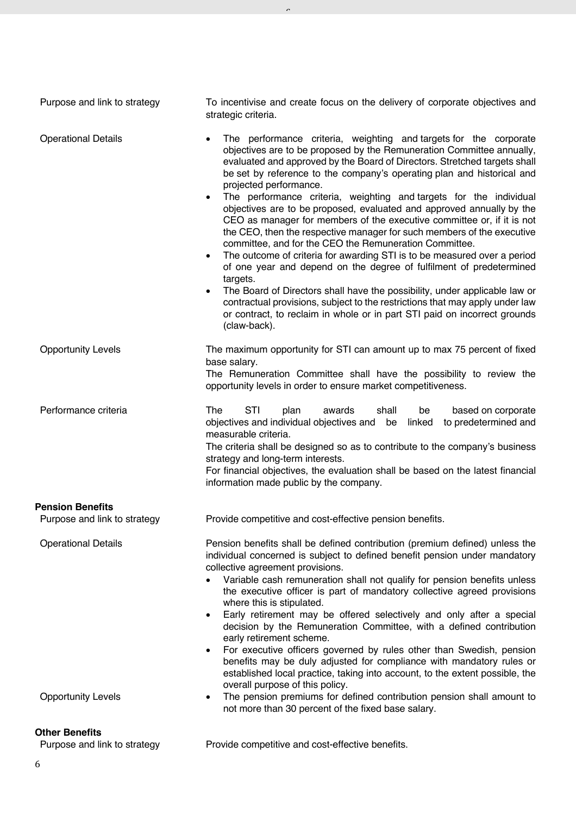| <b>Operational Details</b><br>The performance criteria, weighting and targets for the corporate<br>$\bullet$<br>objectives are to be proposed by the Remuneration Committee annually,<br>evaluated and approved by the Board of Directors. Stretched targets shall<br>be set by reference to the company's operating plan and historical and<br>projected performance.<br>The performance criteria, weighting and targets for the individual<br>$\bullet$<br>objectives are to be proposed, evaluated and approved annually by the<br>CEO as manager for members of the executive committee or, if it is not<br>the CEO, then the respective manager for such members of the executive<br>committee, and for the CEO the Remuneration Committee.<br>The outcome of criteria for awarding STI is to be measured over a period<br>$\bullet$<br>of one year and depend on the degree of fulfilment of predetermined<br>targets.<br>The Board of Directors shall have the possibility, under applicable law or<br>$\bullet$<br>contractual provisions, subject to the restrictions that may apply under law<br>or contract, to reclaim in whole or in part STI paid on incorrect grounds<br>(claw-back).<br><b>Opportunity Levels</b><br>The maximum opportunity for STI can amount up to max 75 percent of fixed<br>base salary.<br>The Remuneration Committee shall have the possibility to review the<br>opportunity levels in order to ensure market competitiveness.<br>Performance criteria<br>STI<br>The<br>plan<br>awards<br>shall<br>be<br>based on corporate<br>to predetermined and<br>objectives and individual objectives and be<br>linked<br>measurable criteria.<br>The criteria shall be designed so as to contribute to the company's business<br>strategy and long-term interests.<br>For financial objectives, the evaluation shall be based on the latest financial<br>information made public by the company.<br>Purpose and link to strategy<br>Provide competitive and cost-effective pension benefits.<br><b>Operational Details</b><br>Pension benefits shall be defined contribution (premium defined) unless the<br>individual concerned is subject to defined benefit pension under mandatory<br>collective agreement provisions.<br>Variable cash remuneration shall not qualify for pension benefits unless<br>the executive officer is part of mandatory collective agreed provisions<br>where this is stipulated.<br>Early retirement may be offered selectively and only after a special<br>$\bullet$<br>decision by the Remuneration Committee, with a defined contribution<br>early retirement scheme.<br>For executive officers governed by rules other than Swedish, pension<br>$\bullet$<br>benefits may be duly adjusted for compliance with mandatory rules or<br>established local practice, taking into account, to the extent possible, the<br>overall purpose of this policy.<br>The pension premiums for defined contribution pension shall amount to<br><b>Opportunity Levels</b><br>٠<br>not more than 30 percent of the fixed base salary. | Purpose and link to strategy | To incentivise and create focus on the delivery of corporate objectives and<br>strategic criteria. |  |  |
|----------------------------------------------------------------------------------------------------------------------------------------------------------------------------------------------------------------------------------------------------------------------------------------------------------------------------------------------------------------------------------------------------------------------------------------------------------------------------------------------------------------------------------------------------------------------------------------------------------------------------------------------------------------------------------------------------------------------------------------------------------------------------------------------------------------------------------------------------------------------------------------------------------------------------------------------------------------------------------------------------------------------------------------------------------------------------------------------------------------------------------------------------------------------------------------------------------------------------------------------------------------------------------------------------------------------------------------------------------------------------------------------------------------------------------------------------------------------------------------------------------------------------------------------------------------------------------------------------------------------------------------------------------------------------------------------------------------------------------------------------------------------------------------------------------------------------------------------------------------------------------------------------------------------------------------------------------------------------------------------------------------------------------------------------------------------------------------------------------------------------------------------------------------------------------------------------------------------------------------------------------------------------------------------------------------------------------------------------------------------------------------------------------------------------------------------------------------------------------------------------------------------------------------------------------------------------------------------------------------------------------------------------------------------------------------------------------------------------------------------------------------------------------------------------------------------------------------------------------------------------------------------------------------------------------------------------------------------------------------------------------------------------------------------------------------------------------------|------------------------------|----------------------------------------------------------------------------------------------------|--|--|
|                                                                                                                                                                                                                                                                                                                                                                                                                                                                                                                                                                                                                                                                                                                                                                                                                                                                                                                                                                                                                                                                                                                                                                                                                                                                                                                                                                                                                                                                                                                                                                                                                                                                                                                                                                                                                                                                                                                                                                                                                                                                                                                                                                                                                                                                                                                                                                                                                                                                                                                                                                                                                                                                                                                                                                                                                                                                                                                                                                                                                                                                                        |                              |                                                                                                    |  |  |
|                                                                                                                                                                                                                                                                                                                                                                                                                                                                                                                                                                                                                                                                                                                                                                                                                                                                                                                                                                                                                                                                                                                                                                                                                                                                                                                                                                                                                                                                                                                                                                                                                                                                                                                                                                                                                                                                                                                                                                                                                                                                                                                                                                                                                                                                                                                                                                                                                                                                                                                                                                                                                                                                                                                                                                                                                                                                                                                                                                                                                                                                                        |                              |                                                                                                    |  |  |
|                                                                                                                                                                                                                                                                                                                                                                                                                                                                                                                                                                                                                                                                                                                                                                                                                                                                                                                                                                                                                                                                                                                                                                                                                                                                                                                                                                                                                                                                                                                                                                                                                                                                                                                                                                                                                                                                                                                                                                                                                                                                                                                                                                                                                                                                                                                                                                                                                                                                                                                                                                                                                                                                                                                                                                                                                                                                                                                                                                                                                                                                                        |                              |                                                                                                    |  |  |
|                                                                                                                                                                                                                                                                                                                                                                                                                                                                                                                                                                                                                                                                                                                                                                                                                                                                                                                                                                                                                                                                                                                                                                                                                                                                                                                                                                                                                                                                                                                                                                                                                                                                                                                                                                                                                                                                                                                                                                                                                                                                                                                                                                                                                                                                                                                                                                                                                                                                                                                                                                                                                                                                                                                                                                                                                                                                                                                                                                                                                                                                                        | <b>Pension Benefits</b>      |                                                                                                    |  |  |
|                                                                                                                                                                                                                                                                                                                                                                                                                                                                                                                                                                                                                                                                                                                                                                                                                                                                                                                                                                                                                                                                                                                                                                                                                                                                                                                                                                                                                                                                                                                                                                                                                                                                                                                                                                                                                                                                                                                                                                                                                                                                                                                                                                                                                                                                                                                                                                                                                                                                                                                                                                                                                                                                                                                                                                                                                                                                                                                                                                                                                                                                                        |                              |                                                                                                    |  |  |
|                                                                                                                                                                                                                                                                                                                                                                                                                                                                                                                                                                                                                                                                                                                                                                                                                                                                                                                                                                                                                                                                                                                                                                                                                                                                                                                                                                                                                                                                                                                                                                                                                                                                                                                                                                                                                                                                                                                                                                                                                                                                                                                                                                                                                                                                                                                                                                                                                                                                                                                                                                                                                                                                                                                                                                                                                                                                                                                                                                                                                                                                                        |                              |                                                                                                    |  |  |
|                                                                                                                                                                                                                                                                                                                                                                                                                                                                                                                                                                                                                                                                                                                                                                                                                                                                                                                                                                                                                                                                                                                                                                                                                                                                                                                                                                                                                                                                                                                                                                                                                                                                                                                                                                                                                                                                                                                                                                                                                                                                                                                                                                                                                                                                                                                                                                                                                                                                                                                                                                                                                                                                                                                                                                                                                                                                                                                                                                                                                                                                                        | Other Renefits               |                                                                                                    |  |  |

 $\overline{a}$ 

## **Other Benefits**<br>Purpose and link to strategy

Provide competitive and cost-effective benefits.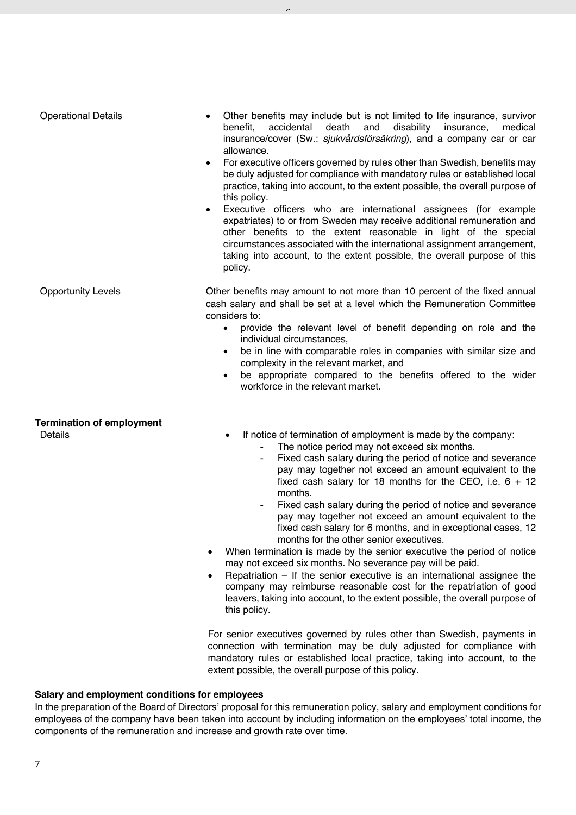| <b>Operational Details</b>                  | Other benefits may include but is not limited to life insurance, survivor<br>benefit,<br>accidental<br>death<br>and<br>disability<br>medical<br>insurance,<br>insurance/cover (Sw.: sjukvårdsförsäkring), and a company car or car<br>allowance.<br>For executive officers governed by rules other than Swedish, benefits may<br>be duly adjusted for compliance with mandatory rules or established local<br>practice, taking into account, to the extent possible, the overall purpose of<br>this policy.<br>Executive officers who are international assignees (for example<br>$\bullet$<br>expatriates) to or from Sweden may receive additional remuneration and<br>other benefits to the extent reasonable in light of the special<br>circumstances associated with the international assignment arrangement,<br>taking into account, to the extent possible, the overall purpose of this<br>policy.                                                                                                                                                          |
|---------------------------------------------|---------------------------------------------------------------------------------------------------------------------------------------------------------------------------------------------------------------------------------------------------------------------------------------------------------------------------------------------------------------------------------------------------------------------------------------------------------------------------------------------------------------------------------------------------------------------------------------------------------------------------------------------------------------------------------------------------------------------------------------------------------------------------------------------------------------------------------------------------------------------------------------------------------------------------------------------------------------------------------------------------------------------------------------------------------------------|
| <b>Opportunity Levels</b>                   | Other benefits may amount to not more than 10 percent of the fixed annual<br>cash salary and shall be set at a level which the Remuneration Committee<br>considers to:<br>provide the relevant level of benefit depending on role and the<br>$\bullet$<br>individual circumstances,<br>be in line with comparable roles in companies with similar size and<br>complexity in the relevant market, and<br>be appropriate compared to the benefits offered to the wider<br>workforce in the relevant market.                                                                                                                                                                                                                                                                                                                                                                                                                                                                                                                                                           |
| <b>Termination of employment</b><br>Details | If notice of termination of employment is made by the company:<br>The notice period may not exceed six months.<br>Fixed cash salary during the period of notice and severance<br>$\overline{\phantom{a}}$<br>pay may together not exceed an amount equivalent to the<br>fixed cash salary for 18 months for the CEO, i.e. $6 + 12$<br>months.<br>Fixed cash salary during the period of notice and severance<br>pay may together not exceed an amount equivalent to the<br>fixed cash salary for 6 months, and in exceptional cases, 12<br>months for the other senior executives.<br>When termination is made by the senior executive the period of notice<br>may not exceed six months. No severance pay will be paid.<br>Repatriation $-$ If the senior executive is an international assignee the<br>$\bullet$<br>company may reimburse reasonable cost for the repatriation of good<br>leavers, taking into account, to the extent possible, the overall purpose of<br>this policy.<br>For senior executives governed by rules other than Swedish, payments in |

 $\overline{a}$ 

connection with termination may be duly adjusted for compliance with mandatory rules or established local practice, taking into account, to the extent possible, the overall purpose of this policy.

## **Salary and employment conditions for employees**

In the preparation of the Board of Directors' proposal for this remuneration policy, salary and employment conditions for employees of the company have been taken into account by including information on the employees' total income, the components of the remuneration and increase and growth rate over time.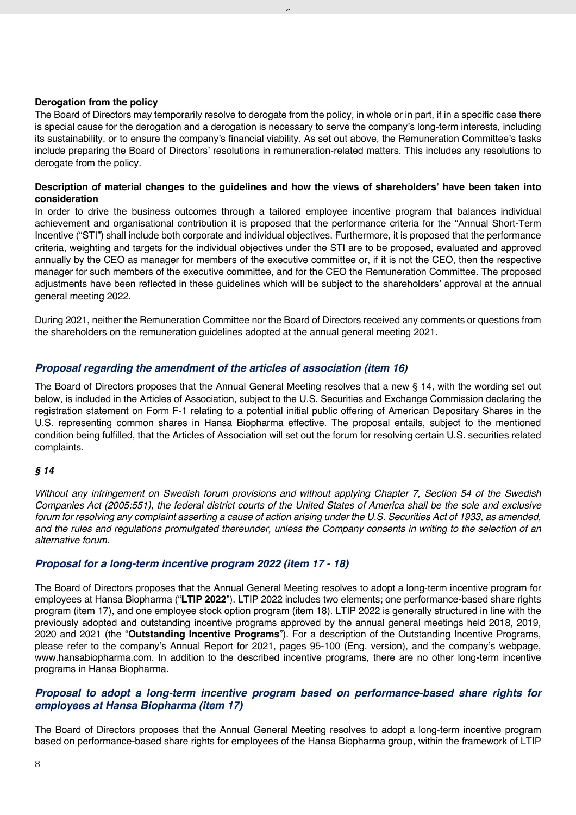## **Derogation from the policy**

The Board of Directors may temporarily resolve to derogate from the policy, in whole or in part, if in a specific case there is special cause for the derogation and a derogation is necessary to serve the company's long-term interests, including its sustainability, or to ensure the company's financial viability. As set out above, the Remuneration Committee's tasks include preparing the Board of Directors' resolutions in remuneration-related matters. This includes any resolutions to derogate from the policy.

 $\overline{a}$ 

## **Description of material changes to the guidelines and how the views of shareholders' have been taken into consideration**

In order to drive the business outcomes through a tailored employee incentive program that balances individual achievement and organisational contribution it is proposed that the performance criteria for the "Annual Short-Term Incentive ("STI") shall include both corporate and individual objectives. Furthermore, it is proposed that the performance criteria, weighting and targets for the individual objectives under the STI are to be proposed, evaluated and approved annually by the CEO as manager for members of the executive committee or, if it is not the CEO, then the respective manager for such members of the executive committee, and for the CEO the Remuneration Committee. The proposed adjustments have been reflected in these guidelines which will be subject to the shareholders' approval at the annual general meeting 2022.

During 2021, neither the Remuneration Committee nor the Board of Directors received any comments or questions from the shareholders on the remuneration guidelines adopted at the annual general meeting 2021.

## *Proposal regarding the amendment of the articles of association (item 16)*

The Board of Directors proposes that the Annual General Meeting resolves that a new § 14, with the wording set out below, is included in the Articles of Association, subject to the U.S. Securities and Exchange Commission declaring the registration statement on Form F-1 relating to a potential initial public offering of American Depositary Shares in the U.S. representing common shares in Hansa Biopharma effective. The proposal entails, subject to the mentioned condition being fulfilled, that the Articles of Association will set out the forum for resolving certain U.S. securities related complaints.

#### *§ 14*

*Without any infringement on Swedish forum provisions and without applying Chapter 7, Section 54 of the Swedish Companies Act (2005:551), the federal district courts of the United States of America shall be the sole and exclusive forum for resolving any complaint asserting a cause of action arising under the U.S. Securities Act of 1933, as amended, and the rules and regulations promulgated thereunder, unless the Company consents in writing to the selection of an alternative forum.*

## *Proposal for a long-term incentive program 2022 (item 17 - 18)*

The Board of Directors proposes that the Annual General Meeting resolves to adopt a long-term incentive program for employees at Hansa Biopharma ("**LTIP 2022**"). LTIP 2022 includes two elements; one performance-based share rights program (item 17), and one employee stock option program (item 18). LTIP 2022 is generally structured in line with the previously adopted and outstanding incentive programs approved by the annual general meetings held 2018, 2019, 2020 and 2021 (the "**Outstanding Incentive Programs**"). For a description of the Outstanding Incentive Programs, please refer to the company's Annual Report for 2021, pages 95-100 (Eng. version), and the company's webpage, www.hansabiopharma.com. In addition to the described incentive programs, there are no other long-term incentive programs in Hansa Biopharma.

## *Proposal to adopt a long-term incentive program based on performance-based share rights for employees at Hansa Biopharma (item 17)*

The Board of Directors proposes that the Annual General Meeting resolves to adopt a long-term incentive program based on performance-based share rights for employees of the Hansa Biopharma group, within the framework of LTIP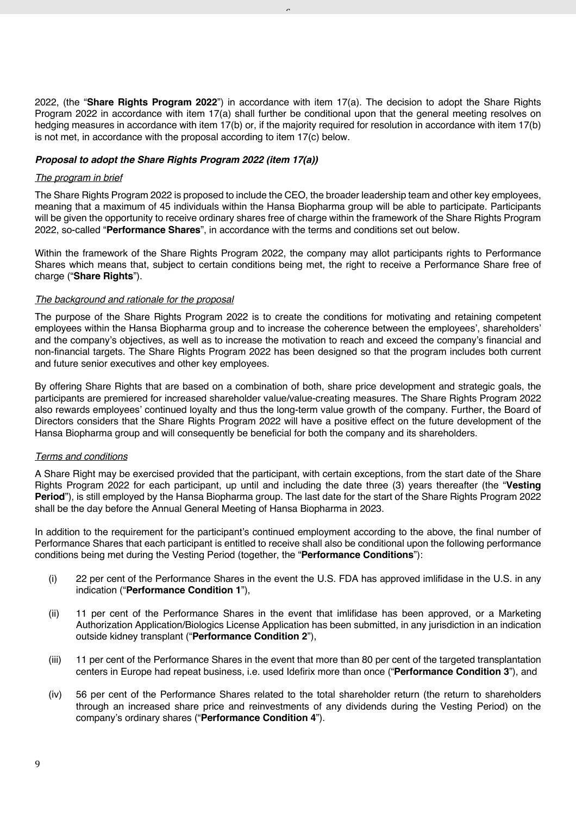2022, (the "**Share Rights Program 2022**") in accordance with item 17(a). The decision to adopt the Share Rights Program 2022 in accordance with item 17(a) shall further be conditional upon that the general meeting resolves on hedging measures in accordance with item 17(b) or, if the majority required for resolution in accordance with item 17(b) is not met, in accordance with the proposal according to item 17(c) below.

 $\overline{a}$ 

## *Proposal to adopt the Share Rights Program 2022 (item 17(a))*

#### *The program in brief*

The Share Rights Program 2022 is proposed to include the CEO, the broader leadership team and other key employees, meaning that a maximum of 45 individuals within the Hansa Biopharma group will be able to participate. Participants will be given the opportunity to receive ordinary shares free of charge within the framework of the Share Rights Program 2022, so-called "**Performance Shares**", in accordance with the terms and conditions set out below.

Within the framework of the Share Rights Program 2022, the company may allot participants rights to Performance Shares which means that, subject to certain conditions being met, the right to receive a Performance Share free of charge ("**Share Rights**").

#### *The background and rationale for the proposal*

The purpose of the Share Rights Program 2022 is to create the conditions for motivating and retaining competent employees within the Hansa Biopharma group and to increase the coherence between the employees', shareholders' and the company's objectives, as well as to increase the motivation to reach and exceed the company's financial and non-financial targets. The Share Rights Program 2022 has been designed so that the program includes both current and future senior executives and other key employees.

By offering Share Rights that are based on a combination of both, share price development and strategic goals, the participants are premiered for increased shareholder value/value-creating measures. The Share Rights Program 2022 also rewards employees' continued loyalty and thus the long-term value growth of the company. Further, the Board of Directors considers that the Share Rights Program 2022 will have a positive effect on the future development of the Hansa Biopharma group and will consequently be beneficial for both the company and its shareholders.

#### *Terms and conditions*

A Share Right may be exercised provided that the participant, with certain exceptions, from the start date of the Share Rights Program 2022 for each participant, up until and including the date three (3) years thereafter (the "**Vesting Period**"), is still employed by the Hansa Biopharma group. The last date for the start of the Share Rights Program 2022 shall be the day before the Annual General Meeting of Hansa Biopharma in 2023.

In addition to the requirement for the participant's continued employment according to the above, the final number of Performance Shares that each participant is entitled to receive shall also be conditional upon the following performance conditions being met during the Vesting Period (together, the "**Performance Conditions**"):

- (i) 22 per cent of the Performance Shares in the event the U.S. FDA has approved imlifidase in the U.S. in any indication ("**Performance Condition 1**"),
- (ii) 11 per cent of the Performance Shares in the event that imlifidase has been approved, or a Marketing Authorization Application/Biologics License Application has been submitted, in any jurisdiction in an indication outside kidney transplant ("**Performance Condition 2**"),
- (iii) 11 per cent of the Performance Shares in the event that more than 80 per cent of the targeted transplantation centers in Europe had repeat business, i.e. used Idefirix more than once ("**Performance Condition 3**"), and
- (iv) 56 per cent of the Performance Shares related to the total shareholder return (the return to shareholders through an increased share price and reinvestments of any dividends during the Vesting Period) on the company's ordinary shares ("**Performance Condition 4**").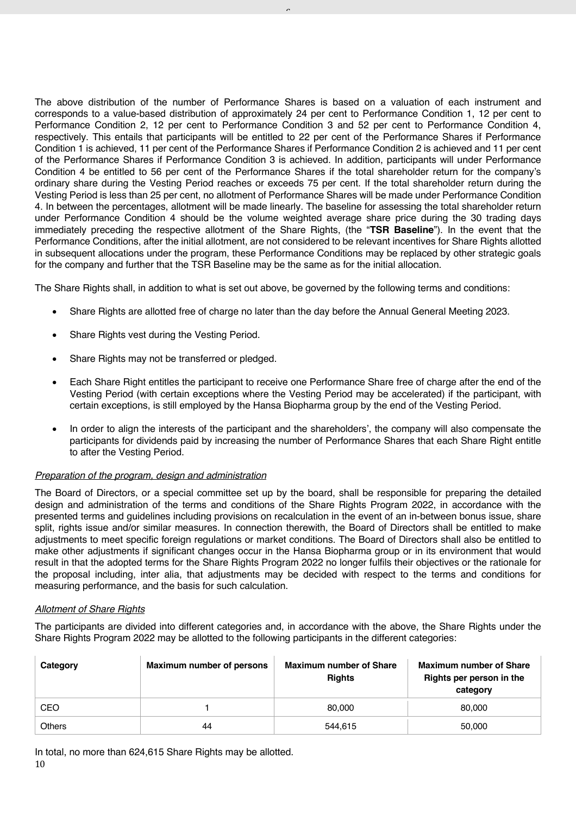The above distribution of the number of Performance Shares is based on a valuation of each instrument and corresponds to a value-based distribution of approximately 24 per cent to Performance Condition 1, 12 per cent to Performance Condition 2, 12 per cent to Performance Condition 3 and 52 per cent to Performance Condition 4, respectively. This entails that participants will be entitled to 22 per cent of the Performance Shares if Performance Condition 1 is achieved, 11 per cent of the Performance Shares if Performance Condition 2 is achieved and 11 per cent of the Performance Shares if Performance Condition 3 is achieved. In addition, participants will under Performance Condition 4 be entitled to 56 per cent of the Performance Shares if the total shareholder return for the company's ordinary share during the Vesting Period reaches or exceeds 75 per cent. If the total shareholder return during the Vesting Period is less than 25 per cent, no allotment of Performance Shares will be made under Performance Condition 4. In between the percentages, allotment will be made linearly. The baseline for assessing the total shareholder return under Performance Condition 4 should be the volume weighted average share price during the 30 trading days immediately preceding the respective allotment of the Share Rights, (the "**TSR Baseline**"). In the event that the Performance Conditions, after the initial allotment, are not considered to be relevant incentives for Share Rights allotted in subsequent allocations under the program, these Performance Conditions may be replaced by other strategic goals for the company and further that the TSR Baseline may be the same as for the initial allocation.

 $\overline{a}$ 

The Share Rights shall, in addition to what is set out above, be governed by the following terms and conditions:

- Share Rights are allotted free of charge no later than the day before the Annual General Meeting 2023.
- Share Rights vest during the Vesting Period.
- Share Rights may not be transferred or pledged.
- Each Share Right entitles the participant to receive one Performance Share free of charge after the end of the Vesting Period (with certain exceptions where the Vesting Period may be accelerated) if the participant, with certain exceptions, is still employed by the Hansa Biopharma group by the end of the Vesting Period.
- In order to align the interests of the participant and the shareholders', the company will also compensate the participants for dividends paid by increasing the number of Performance Shares that each Share Right entitle to after the Vesting Period.

## *Preparation of the program, design and administration*

The Board of Directors, or a special committee set up by the board, shall be responsible for preparing the detailed design and administration of the terms and conditions of the Share Rights Program 2022, in accordance with the presented terms and guidelines including provisions on recalculation in the event of an in-between bonus issue, share split, rights issue and/or similar measures. In connection therewith, the Board of Directors shall be entitled to make adjustments to meet specific foreign regulations or market conditions. The Board of Directors shall also be entitled to make other adjustments if significant changes occur in the Hansa Biopharma group or in its environment that would result in that the adopted terms for the Share Rights Program 2022 no longer fulfils their objectives or the rationale for the proposal including, inter alia, that adjustments may be decided with respect to the terms and conditions for measuring performance, and the basis for such calculation.

## *Allotment of Share Rights*

The participants are divided into different categories and, in accordance with the above, the Share Rights under the Share Rights Program 2022 may be allotted to the following participants in the different categories:

| Category      | Maximum number of persons | <b>Maximum number of Share</b><br><b>Rights</b> | <b>Maximum number of Share</b><br>Rights per person in the<br>category |
|---------------|---------------------------|-------------------------------------------------|------------------------------------------------------------------------|
| CEO           |                           | 80,000                                          | 80.000                                                                 |
| <b>Others</b> | 44                        | 544.615                                         | 50,000                                                                 |

10 In total, no more than 624,615 Share Rights may be allotted.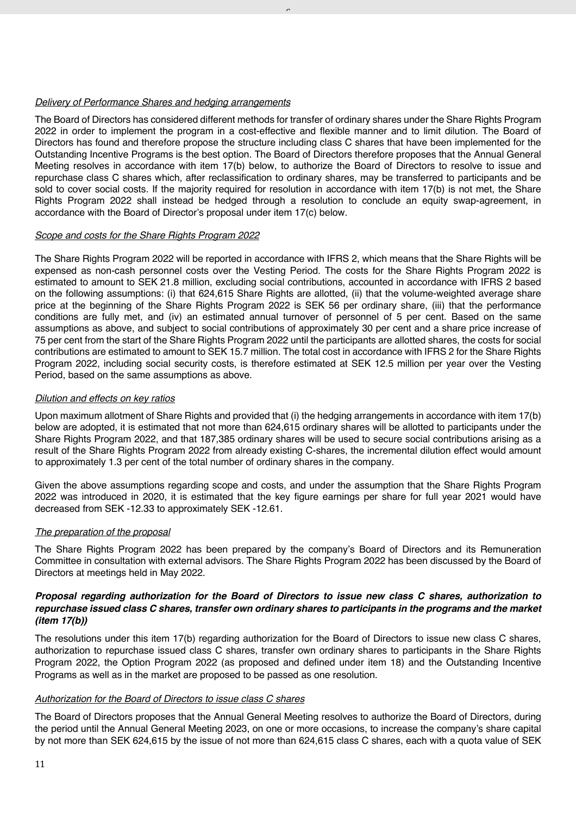## *Delivery of Performance Shares and hedging arrangements*

The Board of Directors has considered different methods for transfer of ordinary shares under the Share Rights Program 2022 in order to implement the program in a cost-effective and flexible manner and to limit dilution. The Board of Directors has found and therefore propose the structure including class C shares that have been implemented for the Outstanding Incentive Programs is the best option. The Board of Directors therefore proposes that the Annual General Meeting resolves in accordance with item 17(b) below, to authorize the Board of Directors to resolve to issue and repurchase class C shares which, after reclassification to ordinary shares, may be transferred to participants and be sold to cover social costs. If the majority required for resolution in accordance with item 17(b) is not met, the Share Rights Program 2022 shall instead be hedged through a resolution to conclude an equity swap-agreement, in accordance with the Board of Director's proposal under item 17(c) below.

 $\overline{a}$ 

## *Scope and costs for the Share Rights Program 2022*

The Share Rights Program 2022 will be reported in accordance with IFRS 2, which means that the Share Rights will be expensed as non-cash personnel costs over the Vesting Period. The costs for the Share Rights Program 2022 is estimated to amount to SEK 21.8 million, excluding social contributions, accounted in accordance with IFRS 2 based on the following assumptions: (i) that 624,615 Share Rights are allotted, (ii) that the volume-weighted average share price at the beginning of the Share Rights Program 2022 is SEK 56 per ordinary share, (iii) that the performance conditions are fully met, and (iv) an estimated annual turnover of personnel of 5 per cent. Based on the same assumptions as above, and subject to social contributions of approximately 30 per cent and a share price increase of 75 per cent from the start of the Share Rights Program 2022 until the participants are allotted shares, the costs for social contributions are estimated to amount to SEK 15.7 million. The total cost in accordance with IFRS 2 for the Share Rights Program 2022, including social security costs, is therefore estimated at SEK 12.5 million per year over the Vesting Period, based on the same assumptions as above.

#### *Dilution and effects on key ratios*

Upon maximum allotment of Share Rights and provided that (i) the hedging arrangements in accordance with item 17(b) below are adopted, it is estimated that not more than 624,615 ordinary shares will be allotted to participants under the Share Rights Program 2022, and that 187,385 ordinary shares will be used to secure social contributions arising as a result of the Share Rights Program 2022 from already existing C-shares, the incremental dilution effect would amount to approximately 1.3 per cent of the total number of ordinary shares in the company.

Given the above assumptions regarding scope and costs, and under the assumption that the Share Rights Program 2022 was introduced in 2020, it is estimated that the key figure earnings per share for full year 2021 would have decreased from SEK -12.33 to approximately SEK -12.61.

## *The preparation of the proposal*

The Share Rights Program 2022 has been prepared by the company's Board of Directors and its Remuneration Committee in consultation with external advisors. The Share Rights Program 2022 has been discussed by the Board of Directors at meetings held in May 2022.

## *Proposal regarding authorization for the Board of Directors to issue new class C shares, authorization to repurchase issued class C shares, transfer own ordinary shares to participants in the programs and the market (item 17(b))*

The resolutions under this item 17(b) regarding authorization for the Board of Directors to issue new class C shares, authorization to repurchase issued class C shares, transfer own ordinary shares to participants in the Share Rights Program 2022, the Option Program 2022 (as proposed and defined under item 18) and the Outstanding Incentive Programs as well as in the market are proposed to be passed as one resolution.

#### *Authorization for the Board of Directors to issue class C shares*

The Board of Directors proposes that the Annual General Meeting resolves to authorize the Board of Directors, during the period until the Annual General Meeting 2023, on one or more occasions, to increase the company's share capital by not more than SEK 624,615 by the issue of not more than 624,615 class C shares, each with a quota value of SEK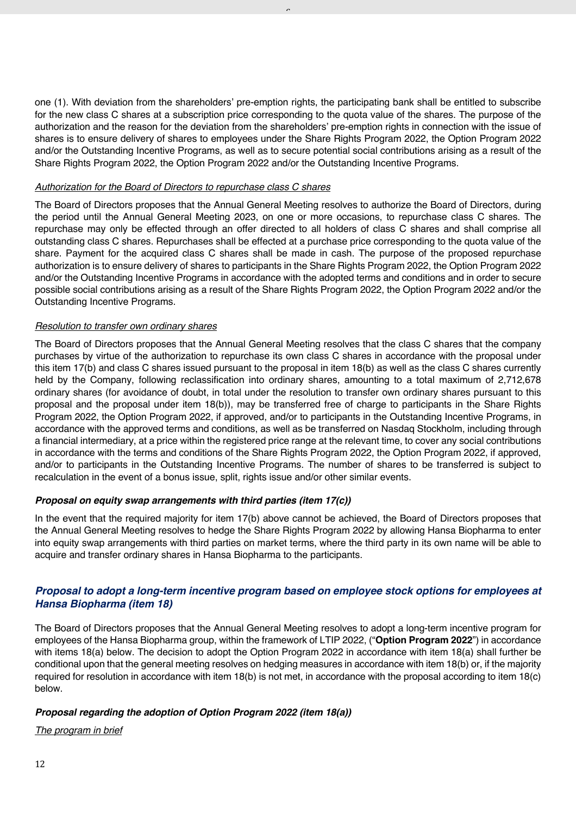one (1). With deviation from the shareholders' pre-emption rights, the participating bank shall be entitled to subscribe for the new class C shares at a subscription price corresponding to the quota value of the shares. The purpose of the authorization and the reason for the deviation from the shareholders' pre-emption rights in connection with the issue of shares is to ensure delivery of shares to employees under the Share Rights Program 2022, the Option Program 2022 and/or the Outstanding Incentive Programs, as well as to secure potential social contributions arising as a result of the Share Rights Program 2022, the Option Program 2022 and/or the Outstanding Incentive Programs.

 $\overline{a}$ 

## *Authorization for the Board of Directors to repurchase class C shares*

The Board of Directors proposes that the Annual General Meeting resolves to authorize the Board of Directors, during the period until the Annual General Meeting 2023, on one or more occasions, to repurchase class C shares. The repurchase may only be effected through an offer directed to all holders of class C shares and shall comprise all outstanding class C shares. Repurchases shall be effected at a purchase price corresponding to the quota value of the share. Payment for the acquired class C shares shall be made in cash. The purpose of the proposed repurchase authorization is to ensure delivery of shares to participants in the Share Rights Program 2022, the Option Program 2022 and/or the Outstanding Incentive Programs in accordance with the adopted terms and conditions and in order to secure possible social contributions arising as a result of the Share Rights Program 2022, the Option Program 2022 and/or the Outstanding Incentive Programs.

#### *Resolution to transfer own ordinary shares*

The Board of Directors proposes that the Annual General Meeting resolves that the class C shares that the company purchases by virtue of the authorization to repurchase its own class C shares in accordance with the proposal under this item 17(b) and class C shares issued pursuant to the proposal in item 18(b) as well as the class C shares currently held by the Company, following reclassification into ordinary shares, amounting to a total maximum of 2,712,678 ordinary shares (for avoidance of doubt, in total under the resolution to transfer own ordinary shares pursuant to this proposal and the proposal under item 18(b)), may be transferred free of charge to participants in the Share Rights Program 2022, the Option Program 2022, if approved, and/or to participants in the Outstanding Incentive Programs, in accordance with the approved terms and conditions, as well as be transferred on Nasdaq Stockholm, including through a financial intermediary, at a price within the registered price range at the relevant time, to cover any social contributions in accordance with the terms and conditions of the Share Rights Program 2022, the Option Program 2022, if approved, and/or to participants in the Outstanding Incentive Programs. The number of shares to be transferred is subject to recalculation in the event of a bonus issue, split, rights issue and/or other similar events.

## *Proposal on equity swap arrangements with third parties (item 17(c))*

In the event that the required majority for item 17(b) above cannot be achieved, the Board of Directors proposes that the Annual General Meeting resolves to hedge the Share Rights Program 2022 by allowing Hansa Biopharma to enter into equity swap arrangements with third parties on market terms, where the third party in its own name will be able to acquire and transfer ordinary shares in Hansa Biopharma to the participants.

## *Proposal to adopt a long-term incentive program based on employee stock options for employees at Hansa Biopharma (item 18)*

The Board of Directors proposes that the Annual General Meeting resolves to adopt a long-term incentive program for employees of the Hansa Biopharma group, within the framework of LTIP 2022, ("**Option Program 2022**") in accordance with items 18(a) below. The decision to adopt the Option Program 2022 in accordance with item 18(a) shall further be conditional upon that the general meeting resolves on hedging measures in accordance with item 18(b) or, if the majority required for resolution in accordance with item 18(b) is not met, in accordance with the proposal according to item 18(c) below.

## *Proposal regarding the adoption of Option Program 2022 (item 18(a))*

*The program in brief*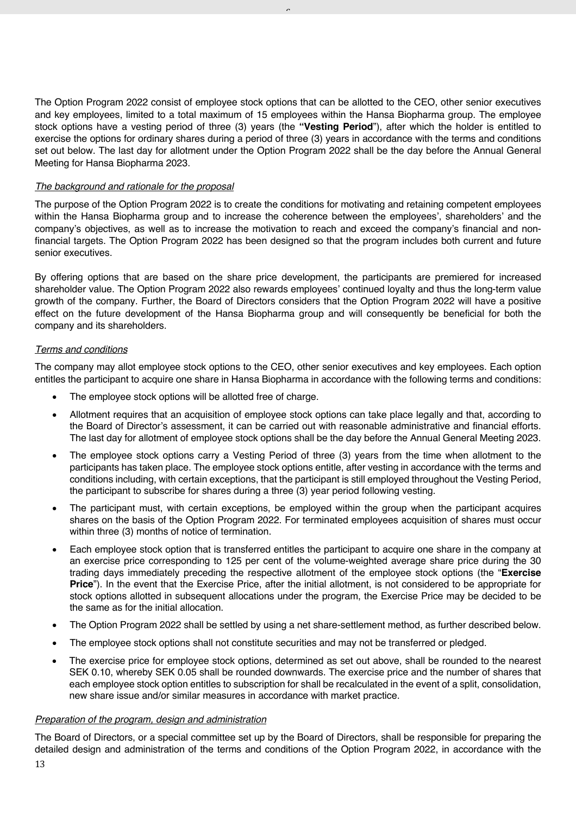The Option Program 2022 consist of employee stock options that can be allotted to the CEO, other senior executives and key employees, limited to a total maximum of 15 employees within the Hansa Biopharma group. The employee stock options have a vesting period of three (3) years (the **"Vesting Period**"), after which the holder is entitled to exercise the options for ordinary shares during a period of three (3) years in accordance with the terms and conditions set out below. The last day for allotment under the Option Program 2022 shall be the day before the Annual General Meeting for Hansa Biopharma 2023.

 $\overline{a}$ 

## *The background and rationale for the proposal*

The purpose of the Option Program 2022 is to create the conditions for motivating and retaining competent employees within the Hansa Biopharma group and to increase the coherence between the employees', shareholders' and the company's objectives, as well as to increase the motivation to reach and exceed the company's financial and nonfinancial targets. The Option Program 2022 has been designed so that the program includes both current and future senior executives.

By offering options that are based on the share price development, the participants are premiered for increased shareholder value. The Option Program 2022 also rewards employees' continued loyalty and thus the long-term value growth of the company. Further, the Board of Directors considers that the Option Program 2022 will have a positive effect on the future development of the Hansa Biopharma group and will consequently be beneficial for both the company and its shareholders.

#### *Terms and conditions*

The company may allot employee stock options to the CEO, other senior executives and key employees. Each option entitles the participant to acquire one share in Hansa Biopharma in accordance with the following terms and conditions:

- The employee stock options will be allotted free of charge.
- Allotment requires that an acquisition of employee stock options can take place legally and that, according to the Board of Director's assessment, it can be carried out with reasonable administrative and financial efforts. The last day for allotment of employee stock options shall be the day before the Annual General Meeting 2023.
- The employee stock options carry a Vesting Period of three (3) years from the time when allotment to the participants has taken place. The employee stock options entitle, after vesting in accordance with the terms and conditions including, with certain exceptions, that the participant is still employed throughout the Vesting Period, the participant to subscribe for shares during a three (3) year period following vesting.
- The participant must, with certain exceptions, be employed within the group when the participant acquires shares on the basis of the Option Program 2022. For terminated employees acquisition of shares must occur within three (3) months of notice of termination.
- Each employee stock option that is transferred entitles the participant to acquire one share in the company at an exercise price corresponding to 125 per cent of the volume-weighted average share price during the 30 trading days immediately preceding the respective allotment of the employee stock options (the "**Exercise Price**"). In the event that the Exercise Price, after the initial allotment, is not considered to be appropriate for stock options allotted in subsequent allocations under the program, the Exercise Price may be decided to be the same as for the initial allocation.
- The Option Program 2022 shall be settled by using a net share-settlement method, as further described below.
- The employee stock options shall not constitute securities and may not be transferred or pledged.
- The exercise price for employee stock options, determined as set out above, shall be rounded to the nearest SEK 0.10, whereby SEK 0.05 shall be rounded downwards. The exercise price and the number of shares that each employee stock option entitles to subscription for shall be recalculated in the event of a split, consolidation, new share issue and/or similar measures in accordance with market practice.

#### *Preparation of the program, design and administration*

The Board of Directors, or a special committee set up by the Board of Directors, shall be responsible for preparing the detailed design and administration of the terms and conditions of the Option Program 2022, in accordance with the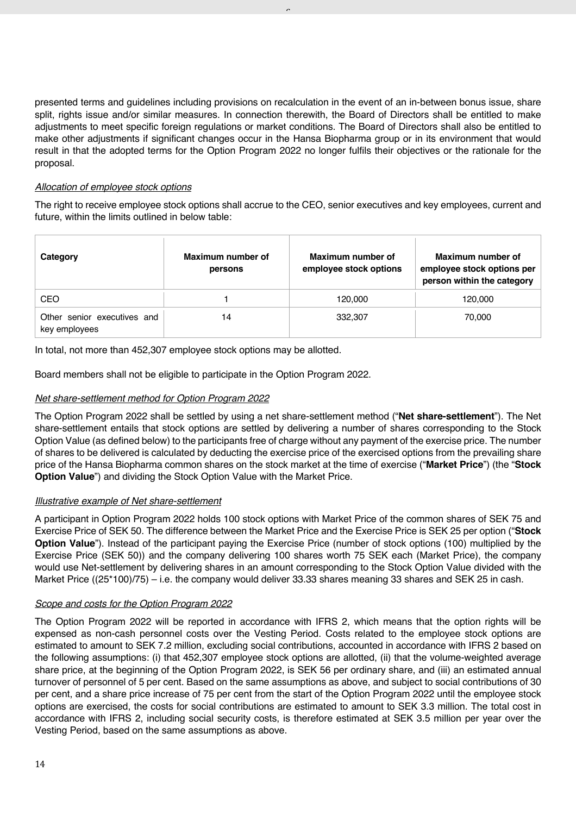presented terms and guidelines including provisions on recalculation in the event of an in-between bonus issue, share split, rights issue and/or similar measures. In connection therewith, the Board of Directors shall be entitled to make adjustments to meet specific foreign regulations or market conditions. The Board of Directors shall also be entitled to make other adjustments if significant changes occur in the Hansa Biopharma group or in its environment that would result in that the adopted terms for the Option Program 2022 no longer fulfils their objectives or the rationale for the proposal.

 $\overline{a}$ 

## *Allocation of employee stock options*

The right to receive employee stock options shall accrue to the CEO, senior executives and key employees, current and future, within the limits outlined in below table:

| Category                                     | Maximum number of<br>persons | Maximum number of<br>employee stock options | Maximum number of<br>employee stock options per<br>person within the category |
|----------------------------------------------|------------------------------|---------------------------------------------|-------------------------------------------------------------------------------|
| CEO                                          |                              | 120,000                                     | 120,000                                                                       |
| Other senior executives and<br>key employees | 14                           | 332,307                                     | 70,000                                                                        |

In total, not more than 452,307 employee stock options may be allotted.

Board members shall not be eligible to participate in the Option Program 2022.

## *Net share-settlement method for Option Program 2022*

The Option Program 2022 shall be settled by using a net share-settlement method ("**Net share-settlement**"). The Net share-settlement entails that stock options are settled by delivering a number of shares corresponding to the Stock Option Value (as defined below) to the participants free of charge without any payment of the exercise price. The number of shares to be delivered is calculated by deducting the exercise price of the exercised options from the prevailing share price of the Hansa Biopharma common shares on the stock market at the time of exercise ("**Market Price**") (the "**Stock Option Value**") and dividing the Stock Option Value with the Market Price.

## *Illustrative example of Net share-settlement*

A participant in Option Program 2022 holds 100 stock options with Market Price of the common shares of SEK 75 and Exercise Price of SEK 50. The difference between the Market Price and the Exercise Price is SEK 25 per option ("**Stock Option Value**"). Instead of the participant paying the Exercise Price (number of stock options (100) multiplied by the Exercise Price (SEK 50)) and the company delivering 100 shares worth 75 SEK each (Market Price), the company would use Net-settlement by delivering shares in an amount corresponding to the Stock Option Value divided with the Market Price ((25\*100)/75) – i.e. the company would deliver 33.33 shares meaning 33 shares and SEK 25 in cash.

## *Scope and costs for the Option Program 2022*

The Option Program 2022 will be reported in accordance with IFRS 2, which means that the option rights will be expensed as non-cash personnel costs over the Vesting Period. Costs related to the employee stock options are estimated to amount to SEK 7.2 million, excluding social contributions, accounted in accordance with IFRS 2 based on the following assumptions: (i) that 452,307 employee stock options are allotted, (ii) that the volume-weighted average share price, at the beginning of the Option Program 2022, is SEK 56 per ordinary share, and (iii) an estimated annual turnover of personnel of 5 per cent. Based on the same assumptions as above, and subject to social contributions of 30 per cent, and a share price increase of 75 per cent from the start of the Option Program 2022 until the employee stock options are exercised, the costs for social contributions are estimated to amount to SEK 3.3 million. The total cost in accordance with IFRS 2, including social security costs, is therefore estimated at SEK 3.5 million per year over the Vesting Period, based on the same assumptions as above.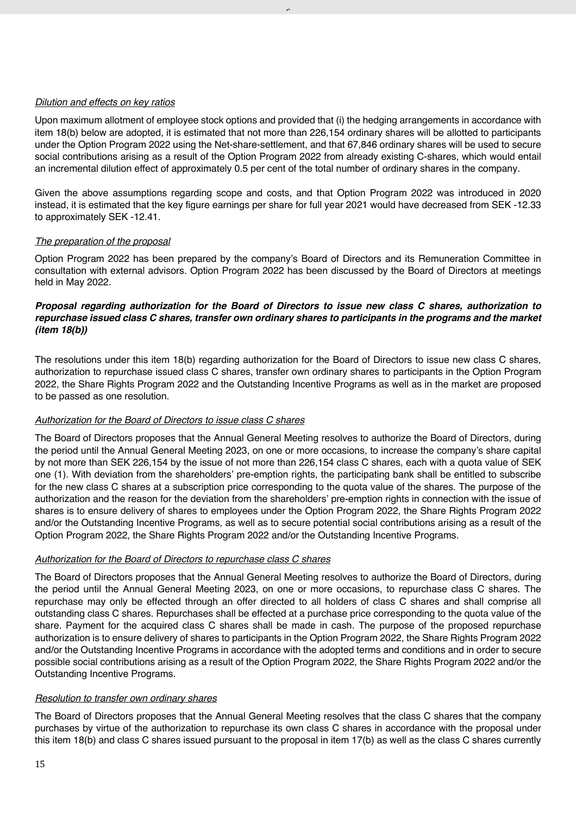## *Dilution and effects on key ratios*

Upon maximum allotment of employee stock options and provided that (i) the hedging arrangements in accordance with item 18(b) below are adopted, it is estimated that not more than 226,154 ordinary shares will be allotted to participants under the Option Program 2022 using the Net-share-settlement, and that 67,846 ordinary shares will be used to secure social contributions arising as a result of the Option Program 2022 from already existing C-shares, which would entail an incremental dilution effect of approximately 0.5 per cent of the total number of ordinary shares in the company.

 $\overline{a}$ 

Given the above assumptions regarding scope and costs, and that Option Program 2022 was introduced in 2020 instead, it is estimated that the key figure earnings per share for full year 2021 would have decreased from SEK -12.33 to approximately SEK -12.41.

#### *The preparation of the proposal*

Option Program 2022 has been prepared by the company's Board of Directors and its Remuneration Committee in consultation with external advisors. Option Program 2022 has been discussed by the Board of Directors at meetings held in May 2022.

## *Proposal regarding authorization for the Board of Directors to issue new class C shares, authorization to repurchase issued class C shares, transfer own ordinary shares to participants in the programs and the market (item 18(b))*

The resolutions under this item 18(b) regarding authorization for the Board of Directors to issue new class C shares, authorization to repurchase issued class C shares, transfer own ordinary shares to participants in the Option Program 2022, the Share Rights Program 2022 and the Outstanding Incentive Programs as well as in the market are proposed to be passed as one resolution.

## *Authorization for the Board of Directors to issue class C shares*

The Board of Directors proposes that the Annual General Meeting resolves to authorize the Board of Directors, during the period until the Annual General Meeting 2023, on one or more occasions, to increase the company's share capital by not more than SEK 226,154 by the issue of not more than 226,154 class C shares, each with a quota value of SEK one (1). With deviation from the shareholders' pre-emption rights, the participating bank shall be entitled to subscribe for the new class C shares at a subscription price corresponding to the quota value of the shares. The purpose of the authorization and the reason for the deviation from the shareholders' pre-emption rights in connection with the issue of shares is to ensure delivery of shares to employees under the Option Program 2022, the Share Rights Program 2022 and/or the Outstanding Incentive Programs, as well as to secure potential social contributions arising as a result of the Option Program 2022, the Share Rights Program 2022 and/or the Outstanding Incentive Programs.

## *Authorization for the Board of Directors to repurchase class C shares*

The Board of Directors proposes that the Annual General Meeting resolves to authorize the Board of Directors, during the period until the Annual General Meeting 2023, on one or more occasions, to repurchase class C shares. The repurchase may only be effected through an offer directed to all holders of class C shares and shall comprise all outstanding class C shares. Repurchases shall be effected at a purchase price corresponding to the quota value of the share. Payment for the acquired class C shares shall be made in cash. The purpose of the proposed repurchase authorization is to ensure delivery of shares to participants in the Option Program 2022, the Share Rights Program 2022 and/or the Outstanding Incentive Programs in accordance with the adopted terms and conditions and in order to secure possible social contributions arising as a result of the Option Program 2022, the Share Rights Program 2022 and/or the Outstanding Incentive Programs.

#### *Resolution to transfer own ordinary shares*

The Board of Directors proposes that the Annual General Meeting resolves that the class C shares that the company purchases by virtue of the authorization to repurchase its own class C shares in accordance with the proposal under this item 18(b) and class C shares issued pursuant to the proposal in item 17(b) as well as the class C shares currently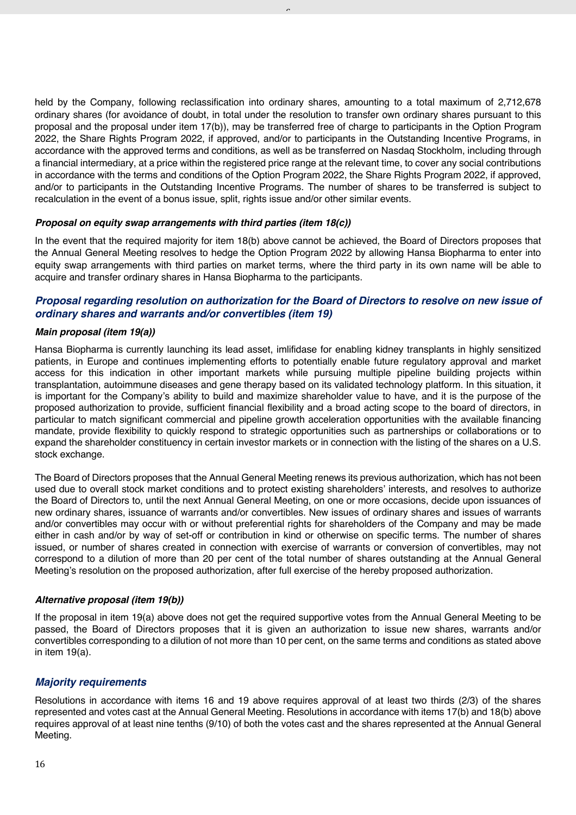held by the Company, following reclassification into ordinary shares, amounting to a total maximum of 2,712,678 ordinary shares (for avoidance of doubt, in total under the resolution to transfer own ordinary shares pursuant to this proposal and the proposal under item 17(b)), may be transferred free of charge to participants in the Option Program 2022, the Share Rights Program 2022, if approved, and/or to participants in the Outstanding Incentive Programs, in accordance with the approved terms and conditions, as well as be transferred on Nasdaq Stockholm, including through a financial intermediary, at a price within the registered price range at the relevant time, to cover any social contributions in accordance with the terms and conditions of the Option Program 2022, the Share Rights Program 2022, if approved, and/or to participants in the Outstanding Incentive Programs. The number of shares to be transferred is subject to recalculation in the event of a bonus issue, split, rights issue and/or other similar events.

 $\overline{a}$ 

#### *Proposal on equity swap arrangements with third parties (item 18(c))*

In the event that the required majority for item 18(b) above cannot be achieved, the Board of Directors proposes that the Annual General Meeting resolves to hedge the Option Program 2022 by allowing Hansa Biopharma to enter into equity swap arrangements with third parties on market terms, where the third party in its own name will be able to acquire and transfer ordinary shares in Hansa Biopharma to the participants.

## *Proposal regarding resolution on authorization for the Board of Directors to resolve on new issue of ordinary shares and warrants and/or convertibles (item 19)*

#### *Main proposal (item 19(a))*

Hansa Biopharma is currently launching its lead asset, imlifidase for enabling kidney transplants in highly sensitized patients, in Europe and continues implementing efforts to potentially enable future regulatory approval and market access for this indication in other important markets while pursuing multiple pipeline building projects within transplantation, autoimmune diseases and gene therapy based on its validated technology platform. In this situation, it is important for the Company's ability to build and maximize shareholder value to have, and it is the purpose of the proposed authorization to provide, sufficient financial flexibility and a broad acting scope to the board of directors, in particular to match significant commercial and pipeline growth acceleration opportunities with the available financing mandate, provide flexibility to quickly respond to strategic opportunities such as partnerships or collaborations or to expand the shareholder constituency in certain investor markets or in connection with the listing of the shares on a U.S. stock exchange.

The Board of Directors proposes that the Annual General Meeting renews its previous authorization, which has not been used due to overall stock market conditions and to protect existing shareholders' interests, and resolves to authorize the Board of Directors to, until the next Annual General Meeting, on one or more occasions, decide upon issuances of new ordinary shares, issuance of warrants and/or convertibles. New issues of ordinary shares and issues of warrants and/or convertibles may occur with or without preferential rights for shareholders of the Company and may be made either in cash and/or by way of set-off or contribution in kind or otherwise on specific terms. The number of shares issued, or number of shares created in connection with exercise of warrants or conversion of convertibles, may not correspond to a dilution of more than 20 per cent of the total number of shares outstanding at the Annual General Meeting's resolution on the proposed authorization, after full exercise of the hereby proposed authorization.

#### *Alternative proposal (item 19(b))*

If the proposal in item 19(a) above does not get the required supportive votes from the Annual General Meeting to be passed, the Board of Directors proposes that it is given an authorization to issue new shares, warrants and/or convertibles corresponding to a dilution of not more than 10 per cent, on the same terms and conditions as stated above in item 19(a).

## *Majority requirements*

Resolutions in accordance with items 16 and 19 above requires approval of at least two thirds (2/3) of the shares represented and votes cast at the Annual General Meeting. Resolutions in accordance with items 17(b) and 18(b) above requires approval of at least nine tenths (9/10) of both the votes cast and the shares represented at the Annual General Meeting.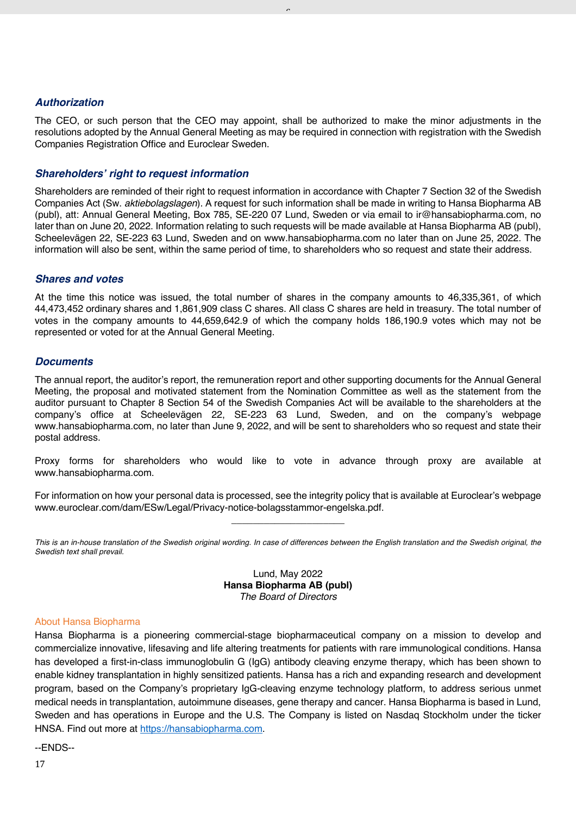## *Authorization*

The CEO, or such person that the CEO may appoint, shall be authorized to make the minor adjustments in the resolutions adopted by the Annual General Meeting as may be required in connection with registration with the Swedish Companies Registration Office and Euroclear Sweden.

 $\overline{a}$ 

## *Shareholders' right to request information*

Shareholders are reminded of their right to request information in accordance with Chapter 7 Section 32 of the Swedish Companies Act (Sw. *aktiebolagslagen*). A request for such information shall be made in writing to Hansa Biopharma AB (publ), att: Annual General Meeting, Box 785, SE-220 07 Lund, Sweden or via email to ir@hansabiopharma.com, no later than on June 20, 2022. Information relating to such requests will be made available at Hansa Biopharma AB (publ), Scheelevägen 22, SE-223 63 Lund, Sweden and on www.hansabiopharma.com no later than on June 25, 2022. The information will also be sent, within the same period of time, to shareholders who so request and state their address.

## *Shares and votes*

At the time this notice was issued, the total number of shares in the company amounts to 46,335,361, of which 44,473,452 ordinary shares and 1,861,909 class C shares. All class C shares are held in treasury. The total number of votes in the company amounts to 44,659,642.9 of which the company holds 186,190.9 votes which may not be represented or voted for at the Annual General Meeting.

## *Documents*

The annual report, the auditor's report, the remuneration report and other supporting documents for the Annual General Meeting, the proposal and motivated statement from the Nomination Committee as well as the statement from the auditor pursuant to Chapter 8 Section 54 of the Swedish Companies Act will be available to the shareholders at the company's office at Scheelevägen 22, SE-223 63 Lund, Sweden, and on the company's webpage www.hansabiopharma.com, no later than June 9, 2022, and will be sent to shareholders who so request and state their postal address.

Proxy forms for shareholders who would like to vote in advance through proxy are available at www.hansabiopharma.com.

For information on how your personal data is processed, see the integrity policy that is available at Euroclear's webpage www.euroclear.com/dam/ESw/Legal/Privacy-notice-bolagsstammor-engelska.pdf. \_\_\_\_\_\_\_\_\_\_\_\_\_\_\_\_\_\_\_\_\_

*This is an in-house translation of the Swedish original wording. In case of differences between the English translation and the Swedish original, the Swedish text shall prevail.*

> Lund, May 2022 **Hansa Biopharma AB (publ)** *The Board of Directors*

#### About Hansa Biopharma

Hansa Biopharma is a pioneering commercial-stage biopharmaceutical company on a mission to develop and commercialize innovative, lifesaving and life altering treatments for patients with rare immunological conditions. Hansa has developed a first-in-class immunoglobulin G (IgG) antibody cleaving enzyme therapy, which has been shown to enable kidney transplantation in highly sensitized patients. Hansa has a rich and expanding research and development program, based on the Company's proprietary IgG-cleaving enzyme technology platform, to address serious unmet medical needs in transplantation, autoimmune diseases, gene therapy and cancer. Hansa Biopharma is based in Lund, Sweden and has operations in Europe and the U.S. The Company is listed on Nasdaq Stockholm under the ticker HNSA. Find out more at https://hansabiopharma.com.

--ENDS--